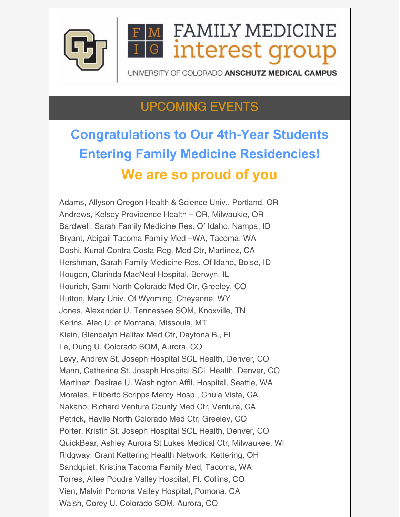

# **FAMILY MEDICINE G** interest grou

UNIVERSITY OF COLORADO ANSCHUTZ MEDICAL CAMPUS

#### UPCOMING EVENTS

## **Congratulations to Our 4th-Year Students Entering Family Medicine Residencies! We are so proud of you**

Adams, Allyson Oregon Health & Science Univ., Portland, OR Andrews, Kelsey Providence Health – OR, Milwaukie, OR Bardwell, Sarah Family Medicine Res. Of Idaho, Nampa, ID Bryant, Abigail Tacoma Family Med –WA, Tacoma, WA Doshi, Kunal Contra Costa Reg. Med Ctr, Martinez, CA Hershman, Sarah Family Medicine Res. Of Idaho, Boise, ID Hougen, Clarinda MacNeal Hospital, Berwyn, IL Hourieh, Sami North Colorado Med Ctr, Greeley, CO Hutton, Mary Univ. Of Wyoming, Cheyenne, WY Jones, Alexander U. Tennessee SOM, Knoxville, TN Kerins, Alec U. of Montana, Missoula, MT Klein, Glendalyn Halifax Med Ctr, Daytona B., FL Le, Dung U. Colorado SOM, Aurora, CO Levy, Andrew St. Joseph Hospital SCL Health, Denver, CO Mann, Catherine St. Joseph Hospital SCL Health, Denver, CO Martinez, Desirae U. Washington Affil. Hospital, Seattle, WA Morales, Filiberto Scripps Mercy Hosp., Chula Vista, CA Nakano, Richard Ventura County Med Ctr, Ventura, CA Petrick, Haylie North Colorado Med Ctr, Greeley, CO Porter, Kristin St. Joseph Hospital SCL Health, Denver, CO QuickBear, Ashley Aurora St Lukes Medical Ctr, Milwaukee, WI Ridgway, Grant Kettering Health Network, Kettering, OH Sandquist, Kristina Tacoma Family Med, Tacoma, WA Torres, Allee Poudre Valley Hospital, Ft. Collins, CO Vien, Malvin Pomona Valley Hospital, Pomona, CA Walsh, Corey U. Colorado SOM, Aurora, CO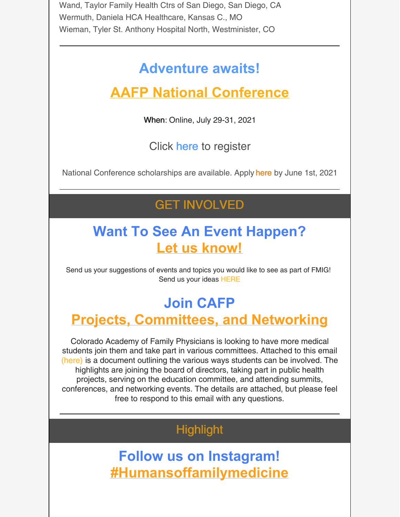Wand, Taylor Family Health Ctrs of San Diego, San Diego, CA Wermuth, Daniela HCA Healthcare, Kansas C., MO Wieman, Tyler St. Anthony Hospital North, Westminister, CO

#### **Adventure awaits!**

## **AAFP National Conference**

When: Online, July 29-31, 2021

Click [here](https://www.aafp.org/events/national-conference/register.html) to register

National Conference scholarships are available. Apply [here](https://www.aafp.org/events/national-conference/scholarships.html?cmpid=em_NTL_I_20210402) by June 1st, 2021

#### GET INVOLVED

#### **Want To See An Event Happen? Let us know!**

Send us your suggestions of events and topics you would like to see as part of FMIG! Send us your ideas [HERE](https://forms.gle/6hGn9mDpepsrhQKG9)

## **Join CAFP**

#### **Projects, Committees, and Networking**

Colorado Academy of Family Physicians is looking to have more medical students join them and take part in various committees. Attached to this email [\(here\)](https://files.constantcontact.com/29e4ace2701/83161f45-7b2e-4370-a11c-4547d08ac705.docx?rdr=true) is a document outlining the various ways students can be involved. The highlights are joining the board of directors, taking part in public health projects, serving on the education committee, and attending summits, conferences, and networking events. The details are attached, but please feel free to respond to this email with any questions.

#### **Highlight**

**Follow us on Instagram! [#Humansoffamilymedicine](https://www.instagram.com/humansoffamilymedicine/)**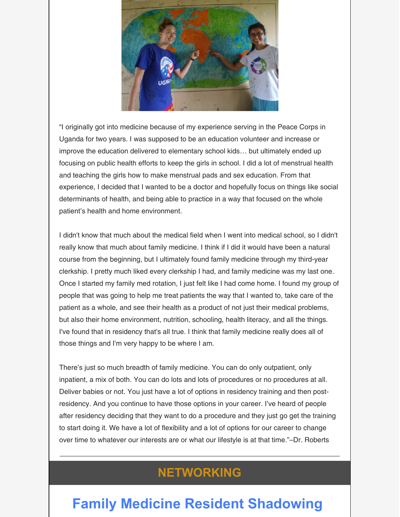

"I originally got into medicine because of my experience serving in the Peace Corps in Uganda for two years. I was supposed to be an education volunteer and increase or improve the education delivered to elementary school kids… but ultimately ended up focusing on public health efforts to keep the girls in school. I did a lot of menstrual health and teaching the girls how to make menstrual pads and sex education. From that experience, I decided that I wanted to be a doctor and hopefully focus on things like social determinants of health, and being able to practice in a way that focused on the whole patient's health and home environment.

I didn't know that much about the medical field when I went into medical school, so I didn't really know that much about family medicine. I think if I did it would have been a natural course from the beginning, but I ultimately found family medicine through my third-year clerkship. I pretty much liked every clerkship I had, and family medicine was my last one. Once I started my family med rotation, I just felt like I had come home. I found my group of people that was going to help me treat patients the way that I wanted to, take care of the patient as a whole, and see their health as a product of not just their medical problems, but also their home environment, nutrition, schooling, health literacy, and all the things. I've found that in residency that's all true. I think that family medicine really does all of those things and I'm very happy to be where I am.

There's just so much breadth of family medicine. You can do only outpatient, only inpatient, a mix of both. You can do lots and lots of procedures or no procedures at all. Deliver babies or not. You just have a lot of options in residency training and then postresidency. And you continue to have those options in your career. I've heard of people after residency deciding that they want to do a procedure and they just go get the training to start doing it. We have a lot of flexibility and a lot of options for our career to change over time to whatever our interests are or what our lifestyle is at that time."–Dr. Roberts

#### **NETWORKING**

## **Family Medicine Resident Shadowing**